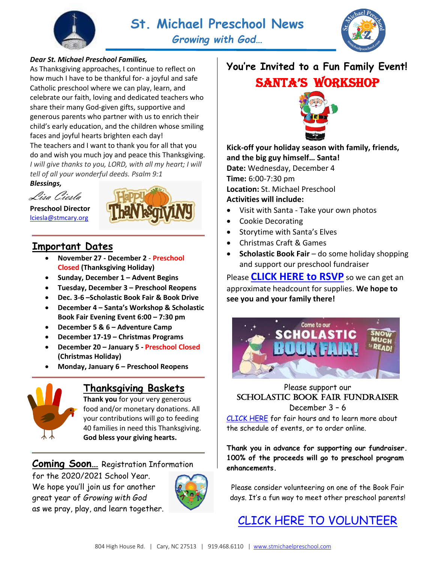



#### *Dear St. Michael Preschool Families,*

As Thanksgiving approaches, I continue to reflect on how much I have to be thankful for- a joyful and safe Catholic preschool where we can play, learn, and celebrate our faith, loving and dedicated teachers who share their many God-given gifts, supportive and generous parents who partner with us to enrich their child's early education, and the children whose smiling faces and joyful hearts brighten each day! The teachers and I want to thank you for all that you do and wish you much joy and peace this Thanksgiving. *I will give thanks to you, LORD, with all my heart; I will tell of all your wonderful deeds. Psalm 9:1*

*Blessings,*



**Preschool Director** [lciesla@stmcary.org](mailto:lciesla@stmcary.org)



### **Important Dates**

- **November 27 - December 2 Preschool Closed (Thanksgiving Holiday)**
- **Sunday, December 1 – Advent Begins**
- **Tuesday, December 3 – Preschool Reopens**
- **Dec. 3-6 –Scholastic Book Fair & Book Drive**
- **December 4 – Santa's Workshop & Scholastic Book Fair Evening Event 6:00 – 7:30 pm**
- **December 5 & 6 – Adventure Camp**
- **December 17-19 – Christmas Programs**
- **December 20 – January 5 - Preschool Closed (Christmas Holiday)**
- **Monday, January 6 – Preschool Reopens**



### **Thanksgiving Baskets**

**Thank you** for your very generous food and/or monetary donations. All your contributions will go to feeding 40 families in need this Thanksgiving. **God bless your giving hearts.** 

**Coming Soon…** Registration Information

for the 2020/2021 School Year. We hope you'll join us for another great year of *Growing with God* as we pray, play, and learn together.



## **You're Invited to a Fun Family Event!** Santa's Workshop



#### **Kick-off your holiday season with family, friends, and the big guy himself… Santa!**

**Date:** Wednesday, December 4 **Time:** 6:00-7:30 pm **Location:** St. Michael Preschool **Activities will include:**

- Visit with Santa Take your own photos
- Cookie Decorating
- Storytime with Santa's Elves
- Christmas Craft & Games
- **Scholastic Book Fair** do some holiday shopping and support our preschool fundraiser

Please **[CLICK HERE](https://www.signupgenius.com/go/10C0C4BAAAC23A5FD0-santas) to RSVP** so we can get an approximate headcount for supplies. **We hope to see you and your family there!**



#### Please support our Scholastic Book Fair Fundraiser December 3 – 6

[CLICK HERE](https://bookfairs.scholastic.com/bookfairs/cptoolkit/homepage.do?method=homepage&url=stmecc) for fair hours and to learn more about the schedule of events, or to order online.

**Thank you in advance for supporting our fundraiser. 100% of the proceeds will go to preschool program enhancements.**

Please consider volunteering on one of the Book Fair days. It's a fun way to meet other preschool parents!

[CLICK HERE TO VOLUNTEER](https://volunteer.scholastic.com/#/experience/login/ao2skejzS)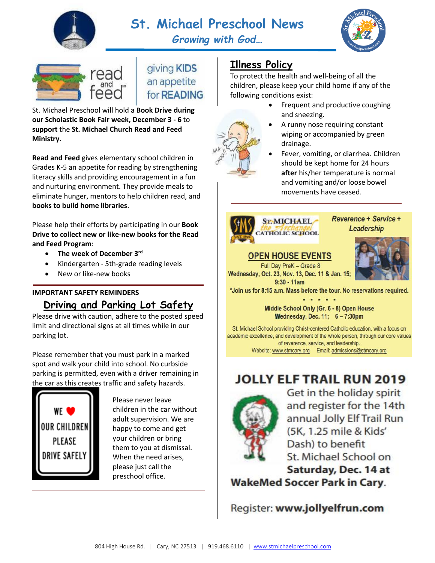

# **St. Michael Preschool News**

*Growing with God…*





giving KIDS an appetite for **READING** 

St. Michael Preschool will hold a **Book Drive during our Scholastic Book Fair week, December 3 - 6** to **support** the **St. Michael Church Read and Feed Ministry.** 

**Read and Feed** gives elementary school children in Grades K-5 an appetite for reading by strengthening literacy skills and providing encouragement in a fun and nurturing environment. They provide meals to eliminate hunger, mentors to help children read, and **books to build home libraries**.

Please help their efforts by participating in our **Book Drive to collect new or like-new books for the Read and Feed Program**:

- **The week of December 3rd**
- Kindergarten 5th-grade reading levels
- New or like-new books

### **IMPORTANT SAFETY REMINDERS Driving and Parking Lot Safety**

Please drive with caution, adhere to the posted speed limit and directional signs at all times while in our parking lot.

Please remember that you must park in a marked spot and walk your child into school. No curbside parking is permitted, even with a driver remaining in the car as this creates traffic and safety hazards.



Please never leave children in the car without adult supervision. We are happy to come and get your children or bring them to you at dismissal. When the need arises, please just call the preschool office.

## **Illness Policy**

To protect the health and well-being of all the children, please keep your child home if any of the following conditions exist:

- Frequent and productive coughing and sneezing.
- A runny nose requiring constant wiping or accompanied by green drainage.
- Fever, vomiting, or diarrhea. Children should be kept home for 24 hours **after** his/her temperature is normal and vomiting and/or loose bowel movements have ceased.



#### **Reverence + Service + Leadership**

## **OPEN HOUSE EVENTS**

Full Day PreK - Grade 8 Wednesday, Oct. 23, Nov. 13, Dec. 11 & Jan. 15;  $9:30 - 11am$ 



\*Join us for 8:15 a.m. Mass before the tour. No reservations required.

Middle School Only (Gr. 6 - 8) Open House Wednesday, Dec. 11; 6 - 7:30pm

St. Michael School providing Christ-centered Catholic education, with a focus on academic excellence, and development of the whole person, through our core values of reverence, service, and leadership. Website: www.stmcary.org Email: admissions@stmcary.org

# **JOLLY ELF TRAIL RUN 2019**



Get in the holiday spirit and register for the 14th annual Jolly Elf Trail Run (5K, 1.25 mile & Kids' Dash) to benefit St. Michael School on Saturday, Dec. 14 at

**WakeMed Soccer Park in Cary.** 

Register: www.jollyelfrun.com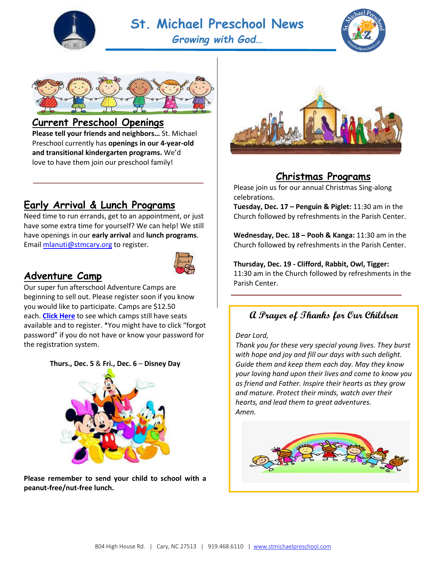

# **St. Michael Preschool News**

*Growing with God…*





### **Current Preschool Openings**

**Please tell your friends and neighbors…** St. Michael Preschool currently has **openings in our 4-year-old and transitional kindergarten programs.** We'd love to have them join our preschool family!

## **Early Arrival & Lunch Programs**

Need time to run errands, get to an appointment, or just have some extra time for yourself? We can help! We still have openings in our **early arrival** and **lunch programs**. Emai[l mlanuti@stmcary.org](mailto:mlanuti@stmcary.org) to register.



### **Adventure Camp**

 beginning to sell out. Please register soon if you know Our super fun afterschool Adventure Camps are you would like to participate. Camps are \$12.50 each. **[Click Here](https://stmichaelpreschool.com/extended-day-program-registration/)** to see which camps still have seats available and to register. \*You might have to click "forgot password" if you do not have or know your password for the registration system.

#### **Thurs., Dec. 5** & **Fri., Dec. 6** – **Disney Day**



**Please remember to send your child to school with a peanut-free/nut-free lunch.**



### **Christmas Programs**

Please join us for our annual Christmas Sing-along celebrations.

**Tuesday, Dec. 17 – Penguin & Piglet:** 11:30 am in the Church followed by refreshments in the Parish Center.

**Wednesday, Dec. 18 – Pooh & Kanga:** 11:30 am in the Church followed by refreshments in the Parish Center.

**Thursday, Dec. 19 - Clifford, Rabbit, Owl, Tigger:** 11:30 am in the Church followed by refreshments in the Parish Center.

### **A Prayer of Thanks for Our Children**

#### *Dear Lord,*

*Thank you for these very special young lives. They burst with hope and joy and fill our days with such delight. Guide them and keep them each day. May they know your loving hand upon their lives and come to know you as friend and Father. Inspire their hearts as they grow and mature. Protect their minds, watch over their hearts, and lead them to great adventures. Amen.*